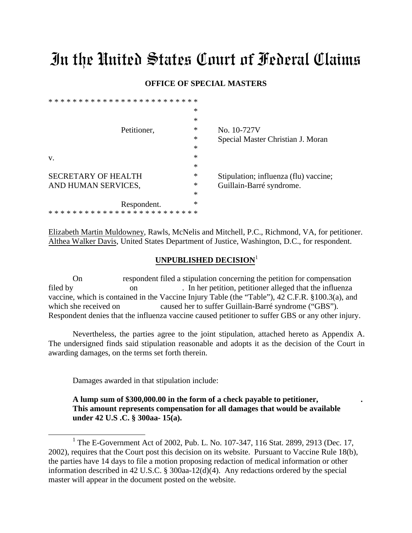## In the United States Court of Federal Claims

## **OFFICE OF SPECIAL MASTERS**

|                            | $\ast$ |                                       |
|----------------------------|--------|---------------------------------------|
|                            | $\ast$ |                                       |
| Petitioner,                | ∗      | No. 10-727V                           |
|                            | ∗      | Special Master Christian J. Moran     |
|                            | ∗      |                                       |
| V.                         | $\ast$ |                                       |
|                            | $\ast$ |                                       |
| <b>SECRETARY OF HEALTH</b> | $\ast$ | Stipulation; influenza (flu) vaccine; |
| AND HUMAN SERVICES,        | ∗      | Guillain-Barré syndrome.              |
|                            | $\ast$ |                                       |
| Respondent.                | $\ast$ |                                       |
|                            |        |                                       |
|                            |        |                                       |

Elizabeth Martin Muldowney, Rawls, McNelis and Mitchell, P.C., Richmond, VA, for petitioner. Althea Walker Davis, United States Department of Justice, Washington, D.C., for respondent.

## **UNPUBLISHED DECISION**[1](#page-0-0)

On respondent filed a stipulation concerning the petition for compensation filed by on the petition, petitioner alleged that the influenza vaccine, which is contained in the Vaccine Injury Table (the "Table"), 42 C.F.R. §100.3(a), and which she received on caused her to suffer Guillain-Barré syndrome ("GBS"). Respondent denies that the influenza vaccine caused petitioner to suffer GBS or any other injury.

Nevertheless, the parties agree to the joint stipulation, attached hereto as Appendix A. The undersigned finds said stipulation reasonable and adopts it as the decision of the Court in awarding damages, on the terms set forth therein.

Damages awarded in that stipulation include:

\* \* \* \* \* \* \* \* \* \* \* \* \* \* \* \* \* \* \* \* \* \* \* \* \*

**A lump sum of \$300,000.00 in the form of a check payable to petitioner, . This amount represents compensation for all damages that would be available under 42 U.S .C. § 300aa- 15(a).** 

<span id="page-0-0"></span><sup>&</sup>lt;sup>1</sup> The E-Government Act of 2002, Pub. L. No. 107-347, 116 Stat. 2899, 2913 (Dec. 17, 2002), requires that the Court post this decision on its website. Pursuant to Vaccine Rule 18(b), the parties have 14 days to file a motion proposing redaction of medical information or other information described in 42 U.S.C. § 300aa-12(d)(4). Any redactions ordered by the special master will appear in the document posted on the website.